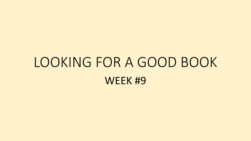### LOOKING FOR A GOOD BOOK WEEK #9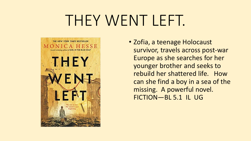### THEY WENT LEFT.



• Zofia, a teenage Holocaust survivor, travels across post-war Europe as she searches for her younger brother and seeks to rebuild her shattered life. How can she find a boy in a sea of the missing. A powerful novel. FICTION—BL 5.1 IL UG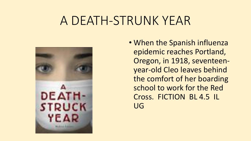### A DEATH-STRUNK YEAR

![](_page_2_Picture_1.jpeg)

• When the Spanish influenza epidemic reaches Portland, Oregon, in 1918, seventeenyear-old Cleo leaves behind the comfort of her boarding school to work for the Red Cross. FICTION BL 4.5 IL UG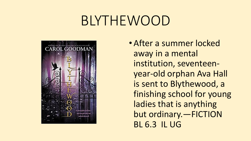### BLYTHEWOOD

![](_page_3_Picture_1.jpeg)

• After a summer locked away in a mental institution, seventeenyear-old orphan Ava Hall is sent to Blythewood, a finishing school for young ladies that is anything but ordinary.—FICTION BL 6.3 IL UG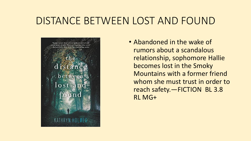#### DISTANCE BETWEEN LOST AND FOUND

![](_page_4_Picture_1.jpeg)

• Abandoned in the wake of rumors about a scandalous relationship, sophomore Hallie becomes lost in the Smoky Mountains with a former friend whom she must trust in order to reach safety.—FICTION BL 3.8 RL MG+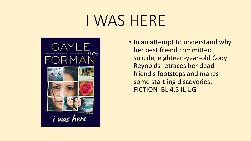## I WAS HERE

![](_page_5_Picture_1.jpeg)

• In an attempt to understand why her best friend committed suicide, eighteen-year-old Cody Reynolds retraces her dead friend's footsteps and makes some startling discoveries.— FICTION BL 4.5 IL UG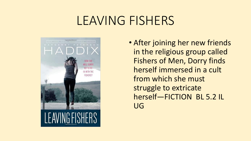#### LEAVING FISHERS

![](_page_6_Picture_1.jpeg)

• After joining her new friends in the religious group called Fishers of Men, Dorry finds herself immersed in a cult from which she must struggle to extricate herself—FICTION BL 5.2 IL UG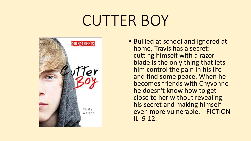## CUTTER BOY

![](_page_7_Picture_1.jpeg)

• Bullied at school and ignored at home, Travis has a secret: cutting himself with a razor blade is the only thing that lets him control the pain in his life and find some peace. When he becomes friends with Chyvonne he doesn't know how to get close to her without revealing his secret and making himself even more vulnerable. --FICTION IL 9-12.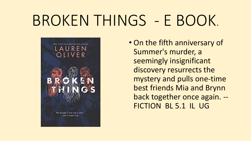# BROKEN THINGS - E BOOK.

![](_page_8_Picture_1.jpeg)

• On the fifth anniversary of Summer's murder, a seemingly insignificant discovery resurrects the mystery and pulls one-time best friends Mia and Brynn back together once again. -- FICTION BL 5.1 IL UG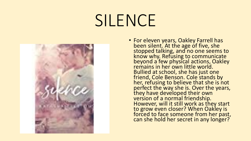# SILENCE

![](_page_9_Picture_1.jpeg)

• For eleven years, Oakley Farrell has been silent. At the age of five, she stopped talking, and no one seems to know why. Refusing to communicate beyond a few physical actions, Oakley remains in her own little world. Bullied at school, she has just one friend, Cole Benson. Cole stands by her, refusing to believe that she is not perfect the way she is. Over the years, they have developed their own version of a normal friendship. However, will it still work as they start to grow even closer? When Oakley is forced to face someone from her past, can she hold her secret in any longer?